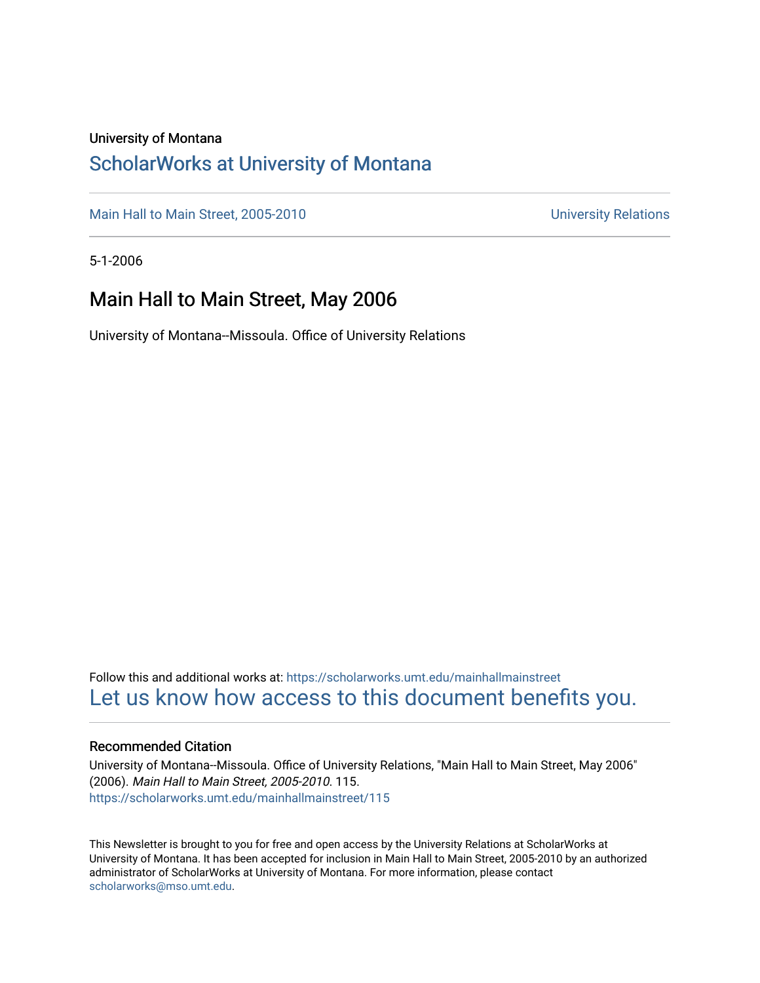### University of Montana

## [ScholarWorks at University of Montana](https://scholarworks.umt.edu/)

[Main Hall to Main Street, 2005-2010](https://scholarworks.umt.edu/mainhallmainstreet) Main Hall to Main Street, 2005-2010

5-1-2006

## Main Hall to Main Street, May 2006

University of Montana--Missoula. Office of University Relations

Follow this and additional works at: [https://scholarworks.umt.edu/mainhallmainstreet](https://scholarworks.umt.edu/mainhallmainstreet?utm_source=scholarworks.umt.edu%2Fmainhallmainstreet%2F115&utm_medium=PDF&utm_campaign=PDFCoverPages) [Let us know how access to this document benefits you.](https://goo.gl/forms/s2rGfXOLzz71qgsB2) 

### Recommended Citation

University of Montana--Missoula. Office of University Relations, "Main Hall to Main Street, May 2006" (2006). Main Hall to Main Street, 2005-2010. 115. [https://scholarworks.umt.edu/mainhallmainstreet/115](https://scholarworks.umt.edu/mainhallmainstreet/115?utm_source=scholarworks.umt.edu%2Fmainhallmainstreet%2F115&utm_medium=PDF&utm_campaign=PDFCoverPages)

This Newsletter is brought to you for free and open access by the University Relations at ScholarWorks at University of Montana. It has been accepted for inclusion in Main Hall to Main Street, 2005-2010 by an authorized administrator of ScholarWorks at University of Montana. For more information, please contact [scholarworks@mso.umt.edu.](mailto:scholarworks@mso.umt.edu)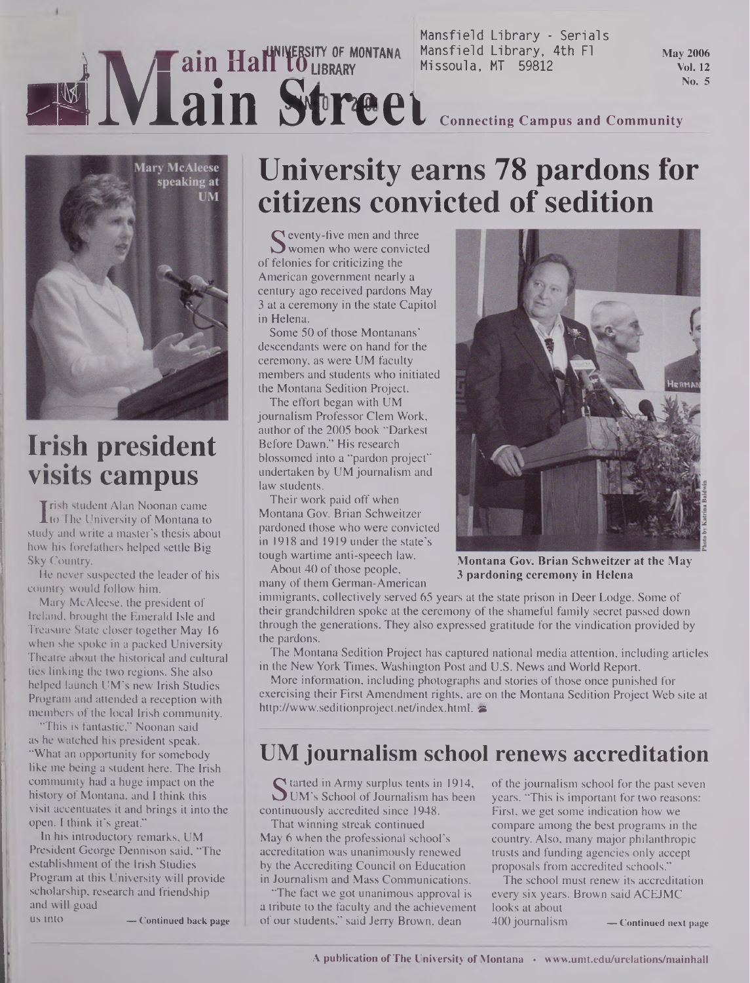### Mansfield Library - Serials **TTLUMINERSITY OF MONTANA** Mansfield Library, 4th Fl<br> **j |Websity 113111 <b>10** LIBRARY Missoula, MT 59812 **EXIMPLE STREET** COLLEGARY MISSOULA. MT 59812 **May 2006 Vol. 12 No. 5**



# **Irish president visits campus**

**The Student Alan Noonan came**<br>The University of Montana to<br>Idv and write a master's thesis abo rish student Alan Noonan came study and write a master's thesis about how his forefathers helped settle Big Sky Country.

He never suspected the leader of his country would follow him.

Mary McAleese, the president of Ireland, brought the Emerald Isle and Treasure State closer together May 16 when she spoke in a packed University Theatre about the historical and cultural ties linking the two regions. She also helped launch UM's new Irish Studies Program and attended a reception with members of the local Irish community.

"This is fantastic," Noonan said as he watched his president speak. "What an opportunity for somebody like me being a student here. The Irish community had a huge impact on the history of Montana, and I think this visit accentuates it and brings it into the open. I think it's great."

In his introductory remarks, UM President George Dennison said, "The establishment of the Irish Studies Program at this University will provide scholarship, research and friendship and will goad

US into **— Continued back page**

# **University earns 78 pardons for citizens convicted of sedition**

S veventy-five men and time<br>summary who were convicted<br>felonies for criticizing the  $\Gamma$  eventy-five men and three of felonies for criticizing the American government nearly a century ago received pardons May 3 at a ceremony in the state Capitol in Helena.

Some 50 of those Montanans' descendants were on hand for the ceremony, as were UM faculty members and students who initiated the Montana Sedition Project.

The effort began with UM journalism Professor Clem Work, author of the 2005 book "Darkest" Before Dawn." His research blossomed into a "pardon project" undertaken by UM journalism and law students.

Their work paid off when Montana Gov. Brian Schweitzer pardoned those who were convicted in 1918 and 1919 under the state's tough wartime anti-speech law.

About 40 of those people, many of them German-American

immigrants, collectively served 65 years at the state prison in Deer Lodge. Some of their grandchildren spoke at the ceremony of the shameful family secret passed down through the generations. They also expressed gratitude for the vindication provided by the pardons.

The Montana Sedition Project has captured national media attention, including articles in the New York Times, Washington Post and U.S. News and World Report.

More information, including photographs and stories of those once punished for exercising their First Amendment rights, are on the Montana Sedition Project Web site at <http://www.seditionproject.net/index.html>.

## **UM journalism school renews accreditation**

Started in Army surplus tents in 1914,<br>UM's School of Journalism has been<br>ntinuously accredited since 1948  $\Gamma$  tarted in Army surplus tents in 1914, continuously accredited since 1948.

That winning streak continued May 6 when the professional school's accreditation was unanimously renewed by the Accrediting Council on Education in Journalism and Mass Communications.

"The fact we got unanimous approval is a tribute to the faculty and the achievement of our students," said Jerry Brown, dean

of the journalism school for the past seven years. "This is important for two reasons: First, we get some indication how we compare among the best programs in the country. Also, many major philanthropic trusts and funding agencies only accept proposals from accredited schools."

The school must renew its accreditation every six years. Brown said ACEJMC looks at about

400 journalism **— Continued next page**



**Montana Gov. Brian Schweitzer at the May 3 pardoning ceremony in Helena**

**A publication ofThe University ofMontana • [www.umt.edu/urelations/mainhall](http://www.umt.edu/urelations/mainhall)**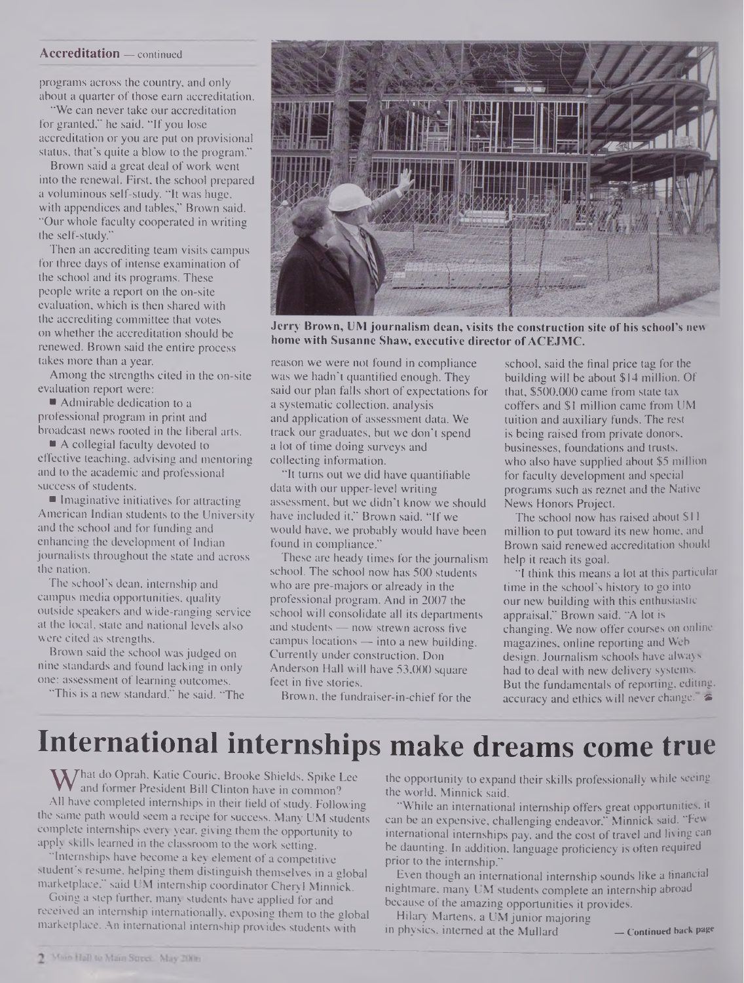### **Accreditation —** continued

programs across the country, and only about a quarter of those earn accreditation.

"We can never take our accreditation for granted," he said. "If you lose accreditation or you are put on provisional status, that's quite a blow to the program."

Brown said a great deal of work went into the renewal. First, the school prepared a voluminous self-study. "It was huge, with appendices and tables," Brown said. "Our whole faculty cooperated in writing the self-study."

Then an accrediting team visits campus for three days of intense examination of the school and its programs. These people write a report on the on-site evaluation, which is then shared with the accrediting committee that votes on whether the accreditation should be renewed. Brown said the entire process takes more than a year.

Among the strengths cited in the on-site evaluation report were:

■ Admirable dedication to a professional program in print and broadcast news rooted in the liberal arts.

■ A collegial faculty devoted to effective teaching, advising and mentoring and to the academic and professional success of students.

**Imaginative initiatives for attracting** American Indian students to the University and the school and for funding and enhancing the development of Indian journalists throughout the state and across the nation.

The school's dean, internship and campus media opportunities, quality outside speakers and wide-ranging service at the local, state and national levels also were cited as strengths.

Brown said the school was judged on nine standards and found lacking in only one: assessment of learning outcomes.

"This is a new standard," he said. "The



**Jerry Brown, UM journalism dean, visits the construction site of his school's new home with Susanne Shaw, executive director ofACEJMC.**

reason we were not found in compliance was we hadn't quantified enough. They said our plan falls short of expectations for a systematic collection, analysis and application of assessment data. We track our graduates, but we don't spend a lot of time doing surveys and collecting information.

"It turns out we did have quantifiable data with our upper-level writing assessment, but we didn't know we should have included it," Brown said. "If we would have, we probably would have been found in compliance."

These are heady times for the journalism school. The school now has 500 students who are pre-majors or already in the professional program. And in 2007 the school will consolidate all its departments and students — now strewn across five campus locations — into a new building. Currently under construction, Don Anderson Hall will have 53,000 square feet in five stories.

Brown, the fundraiser-in-chief for the

school, said the final price tag for the building will be about \$14 million. Of that, \$500,000 came from state tax coffers and \$1 million came from UM tuition and auxiliary funds. The rest is being raised from private donors, businesses, foundations and trusts, who also have supplied about \$5 million for faculty development and special programs such as reznet and the Native News Honors Project.

The school now has raised about \$11 million to put toward its new home, and Brown said renewed accreditation should help it reach its goal.

"I think this means a lot at this particular time in the school's history to go into our new building with this enthusiastic appraisal," Brown said. "A lot is changing. We now offer courses on online magazines, online reporting and Web design. Journalism schools have always had to deal with new delivery systems. But the fundamentals of reporting, editing, accuracy and ethics will never change.

# **International internships make dreams come true**

W hat do Opran. Katte Couric. Brooke Shields, Spike Lee<br>All have completed internships in their field of study. Following  $\mathbf{W}$ hat do Oprah, Katie Couric, Brooke Shields, Spike Lee and former President Bill Clinton have in common? the same path would seem a recipe for success. Many UM students complete internships every year, giving them the opportunity to apply skills learned in the classroom to the work setting.

"Internships have become a key element of a competitive student's resume, helping them distinguish themselves in a global marketplace," said UM internship coordinator Cheryl Minnick.

Going a step further, many students have applied for and received an internship internationally, exposing them to the global marketplace. An international internship provides students with

the opportunity to expand their skills professionally while seeing the world, Minnick said.

"While an international internship offers great opportunities, it can be an expensive, challenging endeavor," Minnick said. "Few international internships pay, and the cost of travel and living can be daunting. In addition, language proficiency is often required prior to the internship."

Even though an international internship sounds like a financial nightmare, many UM students complete an internship abroad because of the amazing opportunities it provides.

Hilary Martens, a UM junior majoring

in physics, interned at the Mullard **— Continued back page**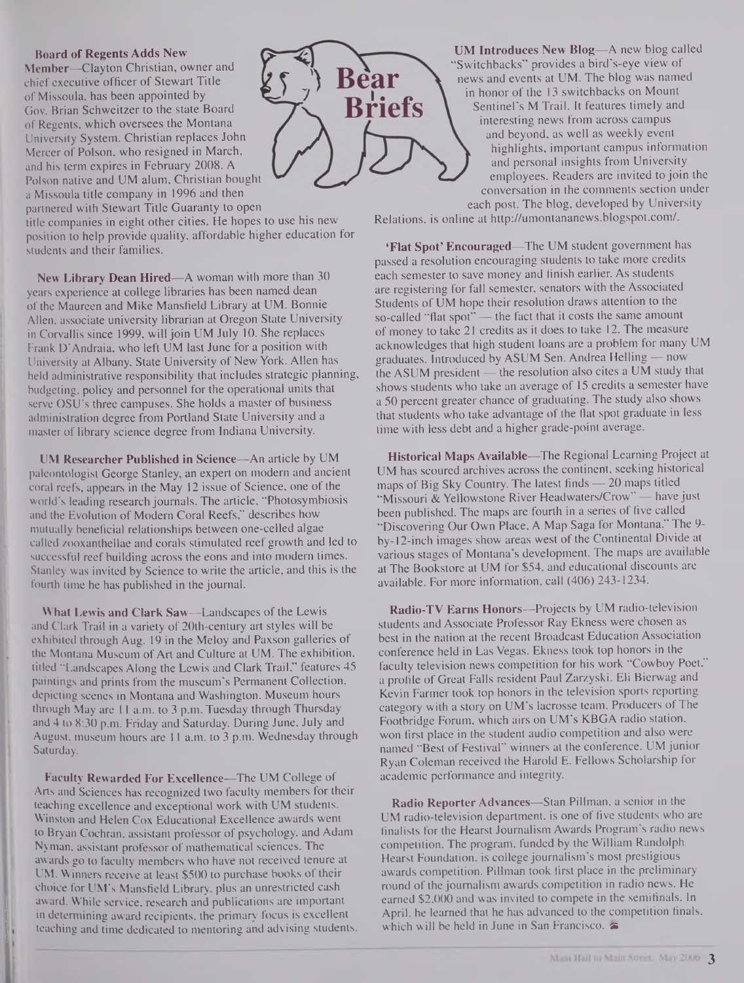#### **Board of Regents Adds New**

**Member—**Clayton Christian, owner and chief executive officer of Stewart Title of Missoula, has been appointed by Gov. Brian Schweitzer to the state Board of Regents, which oversees the Montana University System. Christian replaces John Mercer of Polson, who resigned in March, and his term expires in February 2008. A Polson native and UM alum, Christian bought a Missoula title company in 1996 and then partnered with Stewart Title Guaranty to open

title companies in eight other cities. He hopes to use his new position to help provide quality, affordable higher education for students and their families.

**New Library Dean Hired—**A woman with more than 30 years experience at college libraries has been named dean of the Maureen and Mike Mansfield Library at UM. Bonnie Allen, associate university librarian at Oregon State University in Corvallis since 1999, will join UM July 10. She replaces Frank D'Andraia, who left UM last June for a position with University at Albany, State University of New York. Allen has held administrative responsibility that includes strategic planning, budgeting, policy and personnel for the operational units that serve OSU's three campuses. She holds a master of business administration degree from Portland State University and a master of library science degree from Indiana University.

**UM Researcher Published in Science—**An article by UM paleontologist George Stanley, an expert on modem and ancient coral reefs, appears in the May 12 issue of Science, one of the world's leading research journals. The article, "Photosymbiosis and the Evolution of Modern Coral Reefs," describes how mutually beneficial relationships between one-celled algae called zooxanthellae and corals stimulated reef growth and led to successful reef building across the eons and into modern times. Stanley was invited by Science to write the article, and this is the fourth time he has published in the journal.

**What I ..ewis and Clark Saw—**Landscapes of the Lewis and Clark Trail in a variety of 20th-century art styles will be exhibited through Aug. 19 in the Meloy and Paxson galleries of the Montana Museum of Art and Culture at UM. The exhibition, titled "Landscapes Along the Lewis and Clark Trail," features 45 paintings and prints from the museum's Permanent Collection, depicting scenes in Montana and Washington. Museum hours through May are 11 a.m. to 3 p.m. Tuesday through Thursday and 4 to 8:30 p.m. Friday and Saturday. During June, July and August, museum hours are 11 a.m. to 3 p.m. Wednesday through Saturday.

**Faculty Rewarded For Excellence—**The UM College of Arts and Sciences has recognized two faculty members for their teaching excellence and exceptional work with UM students. Winston and Helen Cox Educational Excellence awards went to Bryan Cochran, assistant professor of psychology, and Adam Nyman, assistant professor of mathematical sciences. The awards go to faculty members who have not received tenure at UM. Winners receive at least \$500 to purchase books of their choice for UM's Mansfield Library, plus an unrestricted cash award. While service, research and publications are important in determining award recipients, the primary focus is excellent teaching and time dedicated to mentoring and advising students.



**UM Introduces New Blog—**A new blog called "Switchbacks" provides a bird's-eye view of news and events at UM. The blog was named in honor of the 13 switchbacks on Mount Sentinel's M Trail. It features timely and interesting news from across campus and beyond, as well as weekly event highlights, important campus information and personal insights from University employees. Readers are invited to join the conversation in the comments section under each post. The blog, developed by University

Relations, is online at <http://umontananews.blogspot.com/>.

**'Flat Spot' Encouraged—**The UM student government has passed a resolution encouraging students to take more credits each semester to save money and finish earlier. As students are registering for fall semester, senators with the Associated Students of UM hope their resolution draws attention to the so-called "flat spot" — the fact that it costs the same amount of money to take 21 credits as it does to take 12. The measure acknowledges that high student loans are a problem for many UM graduates. Introduced by ASUM Sen. Andrea Helling — now the ASUM president — the resolution also cites a UM study that shows students who take an average of 15 credits a semester have a 50 percent greater chance of graduating. The study also shows that students who take advantage of the flat spot graduate in less time with less debt and a higher grade-point average.

**Historical Maps Available—**The Regional Learning Project at UM has scoured archives across the continent, seeking historical maps of Big Sky Country. The latest finds — 20 maps titled "Missouri & Yellowstone River **Headwaters/Crow" —** have just been published. The maps are fourth in a series of five called "Discovering Our Own Place, A Map Saga for Montana." The 9 by-12-inch images show areas west of the Continental Divide at various stages of Montana's development. The maps are available at The Bookstore at UM for \$54, and educational discounts are available. For more information, call (406) 243-1234.

**Radio-TV Earns Honors—**Projects by UM radio-television students and Associate Professor Ray Ekness were chosen as best in the nation at the recent Broadcast Education Association conference held in Las Vegas. Ekness took top honors in the faculty television news competition for his work "Cowboy Poet," a profile of Great Falls resident Paul Zarzyski. Eli Bierwag and Kevin Farmer took top honors in the television sports reporting category with a story on UM's lacrosse team. Producers of The Footbridge Forum, which airs on UM's KBGA radio station, won first place in the student audio competition and also were named "Best of Festival" winners at the conference. UM junior Ryan Coleman received the Harold E. Fellows Scholarship for academic performance and integrity.

**Radio Reporter Advances—**Stan Pillman, a senior in the UM radio-television department, is one of five students who are finalists for the Hearst Journalism Awards Program's radio news competition. The program, funded by the William Randolph Hearst Foundation, is college journalism's most prestigious awards competition. Pillman took first place in the preliminary round of the journalism awards competition in radio news. He earned \$2,000 and was invited to compete in the semifinals. In April, he learned that he has advanced to the competition finals, which will be held in June in San Francisco.  $\blacktriangleright$